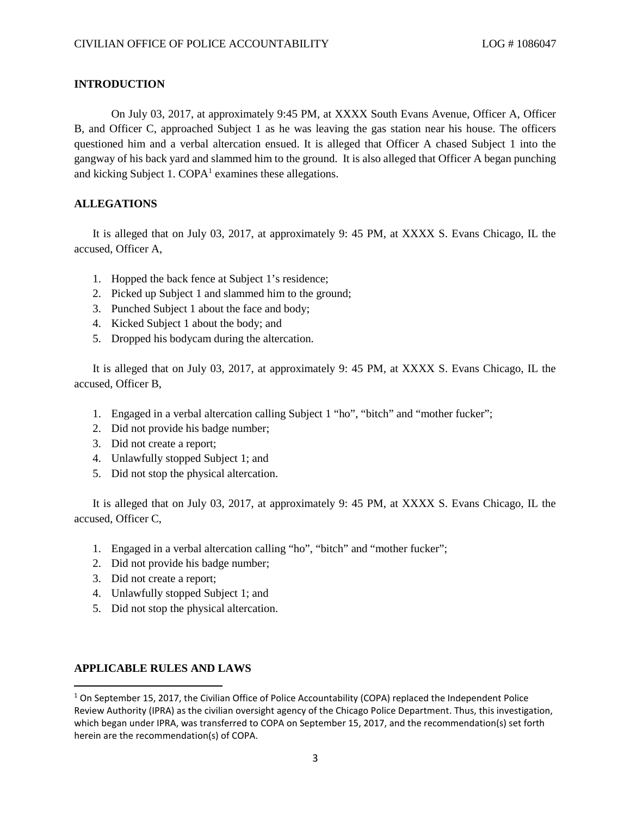#### **INTRODUCTION**

On July 03, 2017, at approximately 9:45 PM, at XXXX South Evans Avenue, Officer A, Officer B, and Officer C, approached Subject 1 as he was leaving the gas station near his house. The officers questioned him and a verbal altercation ensued. It is alleged that Officer A chased Subject 1 into the gangway of his back yard and slammed him to the ground. It is also alleged that Officer A began punching and kicking Subject [1](#page-0-0).  $\text{COPA}^1$  examines these allegations.

# **ALLEGATIONS**

It is alleged that on July 03, 2017, at approximately 9: 45 PM, at XXXX S. Evans Chicago, IL the accused, Officer A,

- 1. Hopped the back fence at Subject 1's residence;
- 2. Picked up Subject 1 and slammed him to the ground;
- 3. Punched Subject 1 about the face and body;
- 4. Kicked Subject 1 about the body; and
- 5. Dropped his bodycam during the altercation.

It is alleged that on July 03, 2017, at approximately 9: 45 PM, at XXXX S. Evans Chicago, IL the accused, Officer B,

- 1. Engaged in a verbal altercation calling Subject 1 "ho", "bitch" and "mother fucker";
- 2. Did not provide his badge number;
- 3. Did not create a report;
- 4. Unlawfully stopped Subject 1; and
- 5. Did not stop the physical altercation.

It is alleged that on July 03, 2017, at approximately 9: 45 PM, at XXXX S. Evans Chicago, IL the accused, Officer C,

- 1. Engaged in a verbal altercation calling "ho", "bitch" and "mother fucker";
- 2. Did not provide his badge number;
- 3. Did not create a report;
- 4. Unlawfully stopped Subject 1; and
- 5. Did not stop the physical altercation.

## **APPLICABLE RULES AND LAWS**

<span id="page-0-0"></span> $1$  On September 15, 2017, the Civilian Office of Police Accountability (COPA) replaced the Independent Police Review Authority (IPRA) as the civilian oversight agency of the Chicago Police Department. Thus, this investigation, which began under IPRA, was transferred to COPA on September 15, 2017, and the recommendation(s) set forth herein are the recommendation(s) of COPA.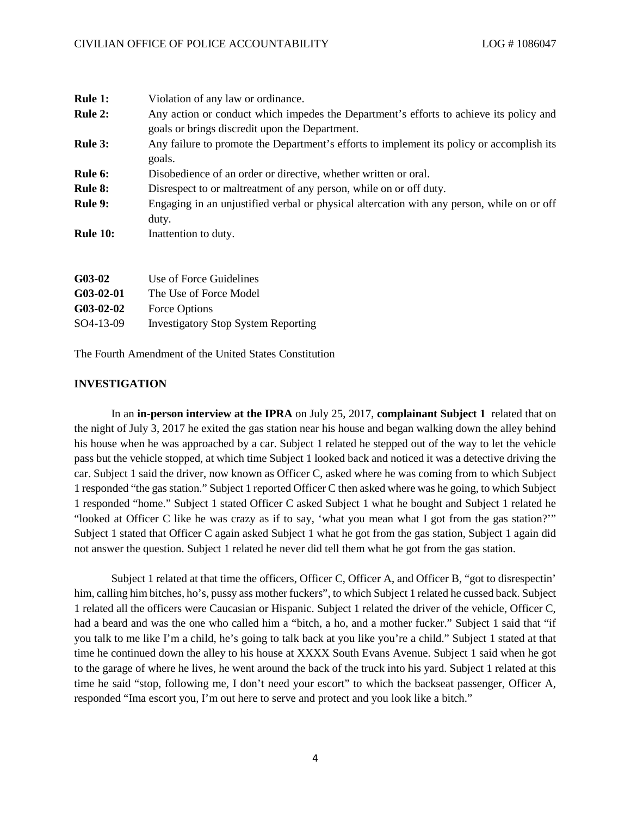| <b>Rule 1:</b>  | Violation of any law or ordinance.                                                         |
|-----------------|--------------------------------------------------------------------------------------------|
| <b>Rule 2:</b>  | Any action or conduct which impedes the Department's efforts to achieve its policy and     |
|                 | goals or brings discredit upon the Department.                                             |
| <b>Rule 3:</b>  | Any failure to promote the Department's efforts to implement its policy or accomplish its  |
|                 | goals.                                                                                     |
| Rule 6:         | Disobedience of an order or directive, whether written or oral.                            |
| <b>Rule 8:</b>  | Disrespect to or maltreatment of any person, while on or off duty.                         |
| <b>Rule 9:</b>  | Engaging in an unjustified verbal or physical altercation with any person, while on or off |
|                 | duty.                                                                                      |
| <b>Rule 10:</b> | Inattention to duty.                                                                       |
|                 |                                                                                            |
|                 |                                                                                            |

| $G$ 03-02    | Use of Force Guidelines                    |
|--------------|--------------------------------------------|
| $G_03-02-01$ | The Use of Force Model                     |
| $G$ 03-02-02 | Force Options                              |
| SO4-13-09    | <b>Investigatory Stop System Reporting</b> |

The Fourth Amendment of the United States Constitution

#### **INVESTIGATION**

In an **in-person interview at the IPRA** on July 25, 2017, **complainant Subject 1** related that on the night of July 3, 2017 he exited the gas station near his house and began walking down the alley behind his house when he was approached by a car. Subject 1 related he stepped out of the way to let the vehicle pass but the vehicle stopped, at which time Subject 1 looked back and noticed it was a detective driving the car. Subject 1 said the driver, now known as Officer C, asked where he was coming from to which Subject 1 responded "the gas station." Subject 1 reported Officer C then asked where was he going, to which Subject 1 responded "home." Subject 1 stated Officer C asked Subject 1 what he bought and Subject 1 related he "looked at Officer C like he was crazy as if to say, 'what you mean what I got from the gas station?'" Subject 1 stated that Officer C again asked Subject 1 what he got from the gas station, Subject 1 again did not answer the question. Subject 1 related he never did tell them what he got from the gas station.

Subject 1 related at that time the officers, Officer C, Officer A, and Officer B, "got to disrespectin' him, calling him bitches, ho's, pussy ass mother fuckers", to which Subject 1 related he cussed back. Subject 1 related all the officers were Caucasian or Hispanic. Subject 1 related the driver of the vehicle, Officer C, had a beard and was the one who called him a "bitch, a ho, and a mother fucker." Subject 1 said that "if you talk to me like I'm a child, he's going to talk back at you like you're a child." Subject 1 stated at that time he continued down the alley to his house at XXXX South Evans Avenue. Subject 1 said when he got to the garage of where he lives, he went around the back of the truck into his yard. Subject 1 related at this time he said "stop, following me, I don't need your escort" to which the backseat passenger, Officer A, responded "Ima escort you, I'm out here to serve and protect and you look like a bitch."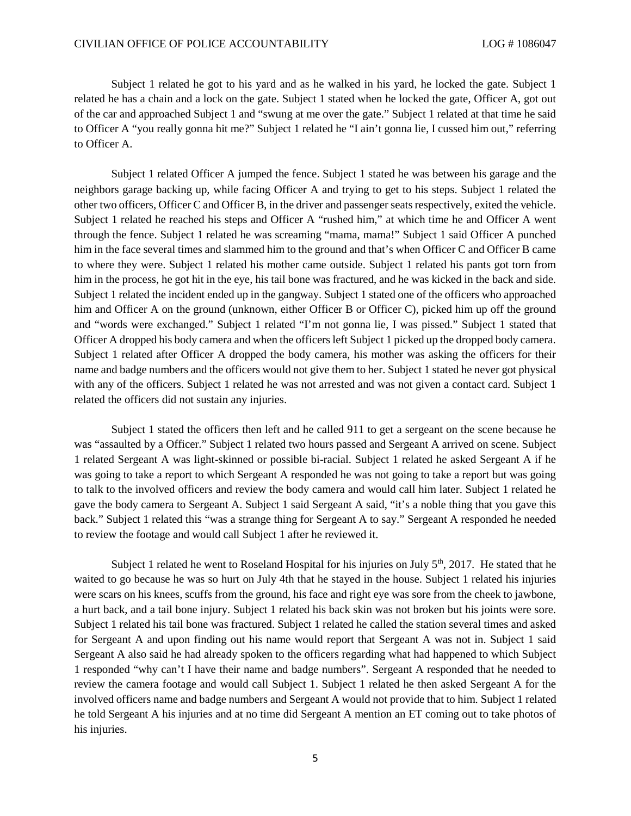Subject 1 related he got to his yard and as he walked in his yard, he locked the gate. Subject 1 related he has a chain and a lock on the gate. Subject 1 stated when he locked the gate, Officer A, got out of the car and approached Subject 1 and "swung at me over the gate." Subject 1 related at that time he said to Officer A "you really gonna hit me?" Subject 1 related he "I ain't gonna lie, I cussed him out," referring to Officer A.

Subject 1 related Officer A jumped the fence. Subject 1 stated he was between his garage and the neighbors garage backing up, while facing Officer A and trying to get to his steps. Subject 1 related the other two officers, Officer C and Officer B, in the driver and passenger seats respectively, exited the vehicle. Subject 1 related he reached his steps and Officer A "rushed him," at which time he and Officer A went through the fence. Subject 1 related he was screaming "mama, mama!" Subject 1 said Officer A punched him in the face several times and slammed him to the ground and that's when Officer C and Officer B came to where they were. Subject 1 related his mother came outside. Subject 1 related his pants got torn from him in the process, he got hit in the eye, his tail bone was fractured, and he was kicked in the back and side. Subject 1 related the incident ended up in the gangway. Subject 1 stated one of the officers who approached him and Officer A on the ground (unknown, either Officer B or Officer C), picked him up off the ground and "words were exchanged." Subject 1 related "I'm not gonna lie, I was pissed." Subject 1 stated that Officer A dropped his body camera and when the officers left Subject 1 picked up the dropped body camera. Subject 1 related after Officer A dropped the body camera, his mother was asking the officers for their name and badge numbers and the officers would not give them to her. Subject 1 stated he never got physical with any of the officers. Subject 1 related he was not arrested and was not given a contact card. Subject 1 related the officers did not sustain any injuries.

Subject 1 stated the officers then left and he called 911 to get a sergeant on the scene because he was "assaulted by a Officer." Subject 1 related two hours passed and Sergeant A arrived on scene. Subject 1 related Sergeant A was light-skinned or possible bi-racial. Subject 1 related he asked Sergeant A if he was going to take a report to which Sergeant A responded he was not going to take a report but was going to talk to the involved officers and review the body camera and would call him later. Subject 1 related he gave the body camera to Sergeant A. Subject 1 said Sergeant A said, "it's a noble thing that you gave this back." Subject 1 related this "was a strange thing for Sergeant A to say." Sergeant A responded he needed to review the footage and would call Subject 1 after he reviewed it.

Subject 1 related he went to Roseland Hospital for his injuries on July  $5<sup>th</sup>$ , 2017. He stated that he waited to go because he was so hurt on July 4th that he stayed in the house. Subject 1 related his injuries were scars on his knees, scuffs from the ground, his face and right eye was sore from the cheek to jawbone, a hurt back, and a tail bone injury. Subject 1 related his back skin was not broken but his joints were sore. Subject 1 related his tail bone was fractured. Subject 1 related he called the station several times and asked for Sergeant A and upon finding out his name would report that Sergeant A was not in. Subject 1 said Sergeant A also said he had already spoken to the officers regarding what had happened to which Subject 1 responded "why can't I have their name and badge numbers". Sergeant A responded that he needed to review the camera footage and would call Subject 1. Subject 1 related he then asked Sergeant A for the involved officers name and badge numbers and Sergeant A would not provide that to him. Subject 1 related he told Sergeant A his injuries and at no time did Sergeant A mention an ET coming out to take photos of his injuries.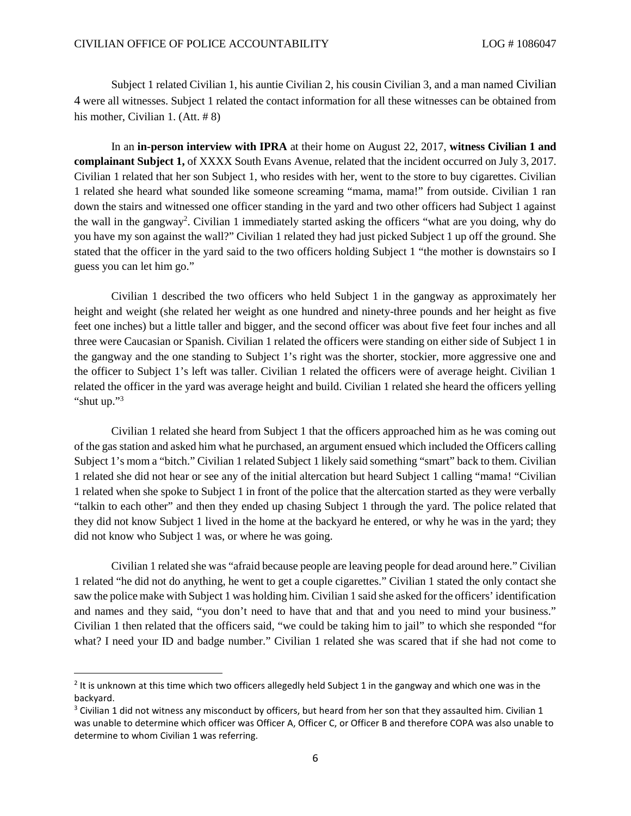Subject 1 related Civilian 1, his auntie Civilian 2, his cousin Civilian 3, and a man named Civilian 4 were all witnesses. Subject 1 related the contact information for all these witnesses can be obtained from his mother, Civilian 1. (Att. #8)

In an **in-person interview with IPRA** at their home on August 22, 2017, **witness Civilian 1 and complainant Subject 1,** of XXXX South Evans Avenue, related that the incident occurred on July 3, 2017. Civilian 1 related that her son Subject 1, who resides with her, went to the store to buy cigarettes. Civilian 1 related she heard what sounded like someone screaming "mama, mama!" from outside. Civilian 1 ran down the stairs and witnessed one officer standing in the yard and two other officers had Subject 1 against the wall in the gangway<sup>[2](#page-3-0)</sup>. Civilian 1 immediately started asking the officers "what are you doing, why do you have my son against the wall?" Civilian 1 related they had just picked Subject 1 up off the ground. She stated that the officer in the yard said to the two officers holding Subject 1 "the mother is downstairs so I guess you can let him go."

Civilian 1 described the two officers who held Subject 1 in the gangway as approximately her height and weight (she related her weight as one hundred and ninety-three pounds and her height as five feet one inches) but a little taller and bigger, and the second officer was about five feet four inches and all three were Caucasian or Spanish. Civilian 1 related the officers were standing on either side of Subject 1 in the gangway and the one standing to Subject 1's right was the shorter, stockier, more aggressive one and the officer to Subject 1's left was taller. Civilian 1 related the officers were of average height. Civilian 1 related the officer in the yard was average height and build. Civilian 1 related she heard the officers yelling "shutup.["](#page-3-1)<sup>3</sup>

Civilian 1 related she heard from Subject 1 that the officers approached him as he was coming out of the gas station and asked him what he purchased, an argument ensued which included the Officers calling Subject 1's mom a "bitch." Civilian 1 related Subject 1 likely said something "smart" back to them. Civilian 1 related she did not hear or see any of the initial altercation but heard Subject 1 calling "mama! "Civilian 1 related when she spoke to Subject 1 in front of the police that the altercation started as they were verbally "talkin to each other" and then they ended up chasing Subject 1 through the yard. The police related that they did not know Subject 1 lived in the home at the backyard he entered, or why he was in the yard; they did not know who Subject 1 was, or where he was going.

Civilian 1 related she was "afraid because people are leaving people for dead around here." Civilian 1 related "he did not do anything, he went to get a couple cigarettes." Civilian 1 stated the only contact she saw the police make with Subject 1 was holding him. Civilian 1 said she asked for the officers' identification and names and they said, "you don't need to have that and that and you need to mind your business." Civilian 1 then related that the officers said, "we could be taking him to jail" to which she responded "for what? I need your ID and badge number." Civilian 1 related she was scared that if she had not come to

<span id="page-3-0"></span><sup>&</sup>lt;sup>2</sup> It is unknown at this time which two officers allegedly held Subject 1 in the gangway and which one was in the backyard.

<span id="page-3-1"></span> $3$  Civilian 1 did not witness any misconduct by officers, but heard from her son that they assaulted him. Civilian 1 was unable to determine which officer was Officer A, Officer C, or Officer B and therefore COPA was also unable to determine to whom Civilian 1 was referring.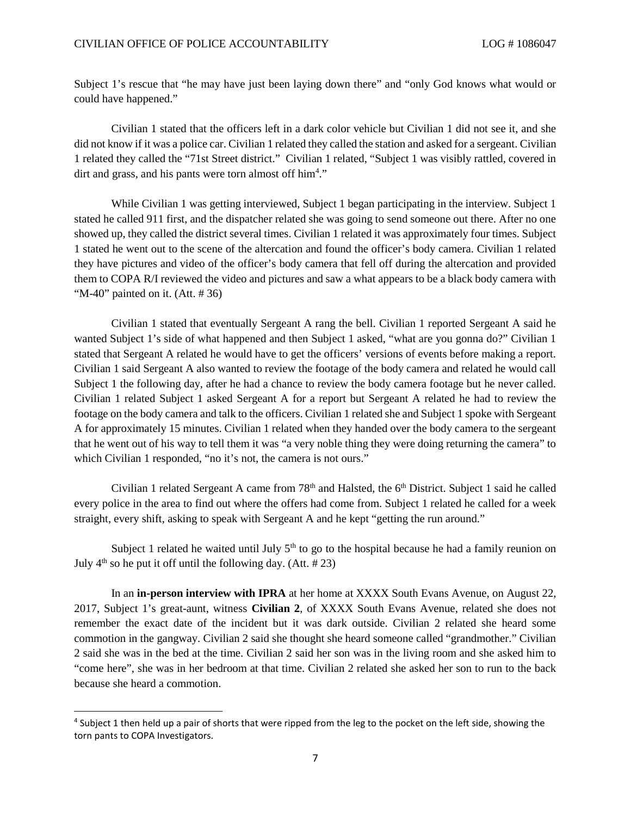Subject 1's rescue that "he may have just been laying down there" and "only God knows what would or could have happened."

Civilian 1 stated that the officers left in a dark color vehicle but Civilian 1 did not see it, and she did not know if it was a police car. Civilian 1 related they called the station and asked for a sergeant. Civilian 1 related they called the "71st Street district." Civilian 1 related, "Subject 1 was visibly rattled, covered in dirtand grass, and his pants were torn al[m](#page-4-0)ost off him<sup>4</sup>."

While Civilian 1 was getting interviewed, Subject 1 began participating in the interview. Subject 1 stated he called 911 first, and the dispatcher related she was going to send someone out there. After no one showed up, they called the district several times. Civilian 1 related it was approximately four times. Subject 1 stated he went out to the scene of the altercation and found the officer's body camera. Civilian 1 related they have pictures and video of the officer's body camera that fell off during the altercation and provided them to COPA R/I reviewed the video and pictures and saw a what appears to be a black body camera with "M-40" painted on it.  $(Att. # 36)$ 

Civilian 1 stated that eventually Sergeant A rang the bell. Civilian 1 reported Sergeant A said he wanted Subject 1's side of what happened and then Subject 1 asked, "what are you gonna do?" Civilian 1 stated that Sergeant A related he would have to get the officers' versions of events before making a report. Civilian 1 said Sergeant A also wanted to review the footage of the body camera and related he would call Subject 1 the following day, after he had a chance to review the body camera footage but he never called. Civilian 1 related Subject 1 asked Sergeant A for a report but Sergeant A related he had to review the footage on the body camera and talk to the officers. Civilian 1 related she and Subject 1 spoke with Sergeant A for approximately 15 minutes. Civilian 1 related when they handed over the body camera to the sergeant that he went out of his way to tell them it was "a very noble thing they were doing returning the camera" to which Civilian 1 responded, "no it's not, the camera is not ours."

Civilian 1 related Sergeant A came from  $78<sup>th</sup>$  and Halsted, the  $6<sup>th</sup>$  District. Subject 1 said he called every police in the area to find out where the offers had come from. Subject 1 related he called for a week straight, every shift, asking to speak with Sergeant A and he kept "getting the run around."

Subject 1 related he waited until July  $5<sup>th</sup>$  to go to the hospital because he had a family reunion on July  $4<sup>th</sup>$  so he put it off until the following day. (Att. #23)

In an **in-person interview with IPRA** at her home at XXXX South Evans Avenue, on August 22, 2017, Subject 1's great-aunt, witness **Civilian 2**, of XXXX South Evans Avenue, related she does not remember the exact date of the incident but it was dark outside. Civilian 2 related she heard some commotion in the gangway. Civilian 2 said she thought she heard someone called "grandmother." Civilian 2 said she was in the bed at the time. Civilian 2 said her son was in the living room and she asked him to "come here", she was in her bedroom at that time. Civilian 2 related she asked her son to run to the back because she heard a commotion.

<span id="page-4-0"></span><sup>&</sup>lt;sup>4</sup> Subject 1 then held up a pair of shorts that were ripped from the leg to the pocket on the left side, showing the torn pants to COPA Investigators.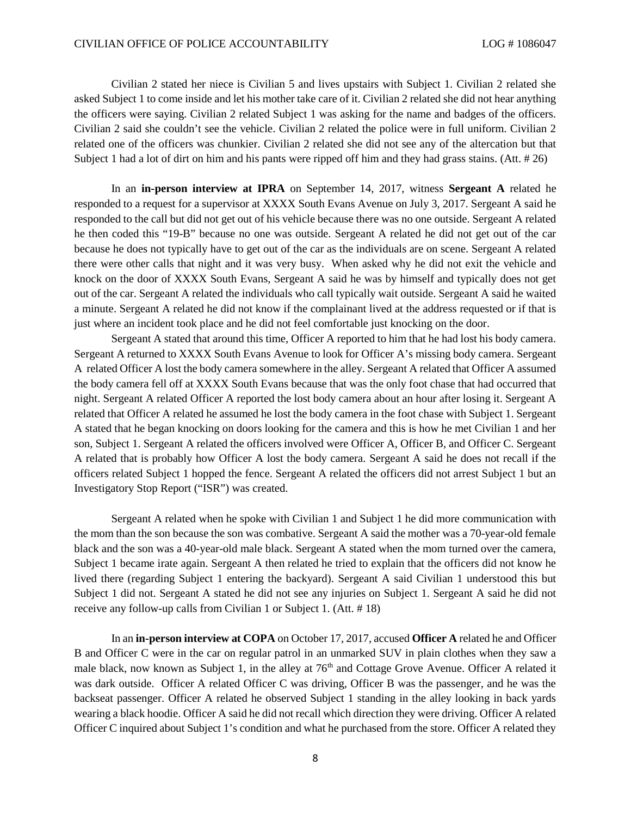Civilian 2 stated her niece is Civilian 5 and lives upstairs with Subject 1. Civilian 2 related she asked Subject 1 to come inside and let his mother take care of it. Civilian 2 related she did not hear anything the officers were saying. Civilian 2 related Subject 1 was asking for the name and badges of the officers. Civilian 2 said she couldn't see the vehicle. Civilian 2 related the police were in full uniform. Civilian 2 related one of the officers was chunkier. Civilian 2 related she did not see any of the altercation but that Subject 1 had a lot of dirt on him and his pants were ripped off him and they had grass stains. (Att. # 26)

In an **in-person interview at IPRA** on September 14, 2017, witness **Sergeant A** related he responded to a request for a supervisor at XXXX South Evans Avenue on July 3, 2017. Sergeant A said he responded to the call but did not get out of his vehicle because there was no one outside. Sergeant A related he then coded this "19-B" because no one was outside. Sergeant A related he did not get out of the car because he does not typically have to get out of the car as the individuals are on scene. Sergeant A related there were other calls that night and it was very busy. When asked why he did not exit the vehicle and knock on the door of XXXX South Evans, Sergeant A said he was by himself and typically does not get out of the car. Sergeant A related the individuals who call typically wait outside. Sergeant A said he waited a minute. Sergeant A related he did not know if the complainant lived at the address requested or if that is just where an incident took place and he did not feel comfortable just knocking on the door.

Sergeant A stated that around this time, Officer A reported to him that he had lost his body camera. Sergeant A returned to XXXX South Evans Avenue to look for Officer A's missing body camera. Sergeant A related Officer A lost the body camera somewhere in the alley. Sergeant A related that Officer A assumed the body camera fell off at XXXX South Evans because that was the only foot chase that had occurred that night. Sergeant A related Officer A reported the lost body camera about an hour after losing it. Sergeant A related that Officer A related he assumed he lost the body camera in the foot chase with Subject 1. Sergeant A stated that he began knocking on doors looking for the camera and this is how he met Civilian 1 and her son, Subject 1. Sergeant A related the officers involved were Officer A, Officer B, and Officer C. Sergeant A related that is probably how Officer A lost the body camera. Sergeant A said he does not recall if the officers related Subject 1 hopped the fence. Sergeant A related the officers did not arrest Subject 1 but an Investigatory Stop Report ("ISR") was created.

Sergeant A related when he spoke with Civilian 1 and Subject 1 he did more communication with the mom than the son because the son was combative. Sergeant A said the mother was a 70-year-old female black and the son was a 40-year-old male black. Sergeant A stated when the mom turned over the camera, Subject 1 became irate again. Sergeant A then related he tried to explain that the officers did not know he lived there (regarding Subject 1 entering the backyard). Sergeant A said Civilian 1 understood this but Subject 1 did not. Sergeant A stated he did not see any injuries on Subject 1. Sergeant A said he did not receive any follow-up calls from Civilian 1 or Subject 1. (Att. # 18)

In an **in-person interview at COPA** on October 17, 2017, accused **Officer A** related he and Officer B and Officer C were in the car on regular patrol in an unmarked SUV in plain clothes when they saw a male black, now known as Subject 1, in the alley at 76<sup>th</sup> and Cottage Grove Avenue. Officer A related it was dark outside. Officer A related Officer C was driving, Officer B was the passenger, and he was the backseat passenger. Officer A related he observed Subject 1 standing in the alley looking in back yards wearing a black hoodie. Officer A said he did not recall which direction they were driving. Officer A related Officer C inquired about Subject 1's condition and what he purchased from the store. Officer A related they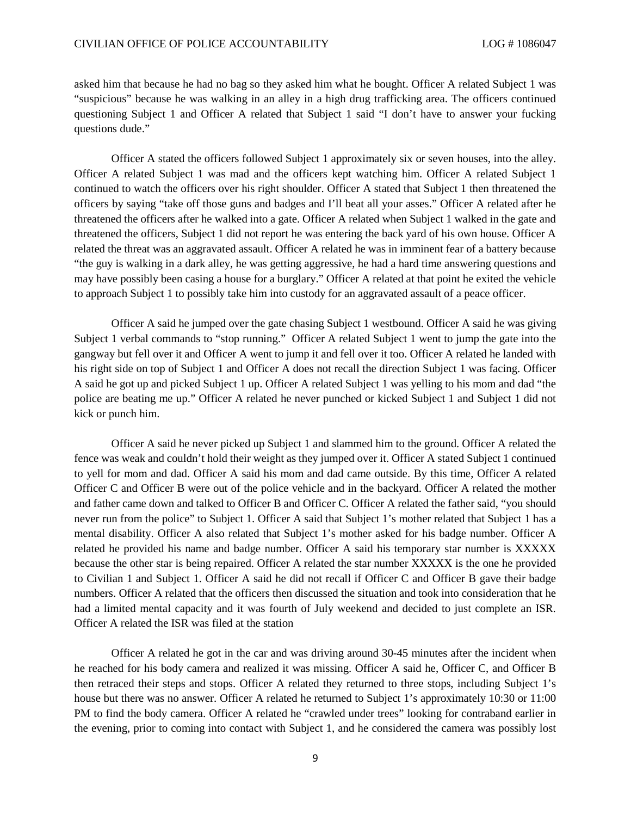asked him that because he had no bag so they asked him what he bought. Officer A related Subject 1 was "suspicious" because he was walking in an alley in a high drug trafficking area. The officers continued questioning Subject 1 and Officer A related that Subject 1 said "I don't have to answer your fucking questions dude."

Officer A stated the officers followed Subject 1 approximately six or seven houses, into the alley. Officer A related Subject 1 was mad and the officers kept watching him. Officer A related Subject 1 continued to watch the officers over his right shoulder. Officer A stated that Subject 1 then threatened the officers by saying "take off those guns and badges and I'll beat all your asses." Officer A related after he threatened the officers after he walked into a gate. Officer A related when Subject 1 walked in the gate and threatened the officers, Subject 1 did not report he was entering the back yard of his own house. Officer A related the threat was an aggravated assault. Officer A related he was in imminent fear of a battery because "the guy is walking in a dark alley, he was getting aggressive, he had a hard time answering questions and may have possibly been casing a house for a burglary." Officer A related at that point he exited the vehicle to approach Subject 1 to possibly take him into custody for an aggravated assault of a peace officer.

Officer A said he jumped over the gate chasing Subject 1 westbound. Officer A said he was giving Subject 1 verbal commands to "stop running." Officer A related Subject 1 went to jump the gate into the gangway but fell over it and Officer A went to jump it and fell over it too. Officer A related he landed with his right side on top of Subject 1 and Officer A does not recall the direction Subject 1 was facing. Officer A said he got up and picked Subject 1 up. Officer A related Subject 1 was yelling to his mom and dad "the police are beating me up." Officer A related he never punched or kicked Subject 1 and Subject 1 did not kick or punch him.

Officer A said he never picked up Subject 1 and slammed him to the ground. Officer A related the fence was weak and couldn't hold their weight as they jumped over it. Officer A stated Subject 1 continued to yell for mom and dad. Officer A said his mom and dad came outside. By this time, Officer A related Officer C and Officer B were out of the police vehicle and in the backyard. Officer A related the mother and father came down and talked to Officer B and Officer C. Officer A related the father said, "you should never run from the police" to Subject 1. Officer A said that Subject 1's mother related that Subject 1 has a mental disability. Officer A also related that Subject 1's mother asked for his badge number. Officer A related he provided his name and badge number. Officer A said his temporary star number is XXXXX because the other star is being repaired. Officer A related the star number XXXXX is the one he provided to Civilian 1 and Subject 1. Officer A said he did not recall if Officer C and Officer B gave their badge numbers. Officer A related that the officers then discussed the situation and took into consideration that he had a limited mental capacity and it was fourth of July weekend and decided to just complete an ISR. Officer A related the ISR was filed at the station

Officer A related he got in the car and was driving around 30-45 minutes after the incident when he reached for his body camera and realized it was missing. Officer A said he, Officer C, and Officer B then retraced their steps and stops. Officer A related they returned to three stops, including Subject 1's house but there was no answer. Officer A related he returned to Subject 1's approximately 10:30 or 11:00 PM to find the body camera. Officer A related he "crawled under trees" looking for contraband earlier in the evening, prior to coming into contact with Subject 1, and he considered the camera was possibly lost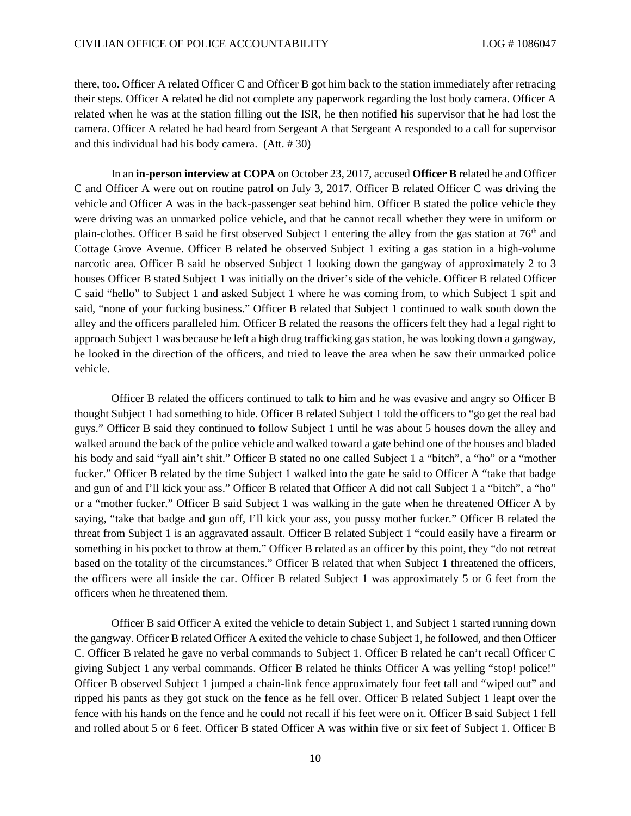there, too. Officer A related Officer C and Officer B got him back to the station immediately after retracing their steps. Officer A related he did not complete any paperwork regarding the lost body camera. Officer A related when he was at the station filling out the ISR, he then notified his supervisor that he had lost the camera. Officer A related he had heard from Sergeant A that Sergeant A responded to a call for supervisor and this individual had his body camera. (Att. # 30)

In an **in-person interview at COPA** on October 23, 2017, accused **Officer B** related he and Officer C and Officer A were out on routine patrol on July 3, 2017. Officer B related Officer C was driving the vehicle and Officer A was in the back-passenger seat behind him. Officer B stated the police vehicle they were driving was an unmarked police vehicle, and that he cannot recall whether they were in uniform or plain-clothes. Officer B said he first observed Subject 1 entering the alley from the gas station at  $76<sup>th</sup>$  and Cottage Grove Avenue. Officer B related he observed Subject 1 exiting a gas station in a high-volume narcotic area. Officer B said he observed Subject 1 looking down the gangway of approximately 2 to 3 houses Officer B stated Subject 1 was initially on the driver's side of the vehicle. Officer B related Officer C said "hello" to Subject 1 and asked Subject 1 where he was coming from, to which Subject 1 spit and said, "none of your fucking business." Officer B related that Subject 1 continued to walk south down the alley and the officers paralleled him. Officer B related the reasons the officers felt they had a legal right to approach Subject 1 was because he left a high drug trafficking gas station, he was looking down a gangway, he looked in the direction of the officers, and tried to leave the area when he saw their unmarked police vehicle.

Officer B related the officers continued to talk to him and he was evasive and angry so Officer B thought Subject 1 had something to hide. Officer B related Subject 1 told the officers to "go get the real bad guys." Officer B said they continued to follow Subject 1 until he was about 5 houses down the alley and walked around the back of the police vehicle and walked toward a gate behind one of the houses and bladed his body and said "yall ain't shit." Officer B stated no one called Subject 1 a "bitch", a "ho" or a "mother fucker." Officer B related by the time Subject 1 walked into the gate he said to Officer A "take that badge and gun of and I'll kick your ass." Officer B related that Officer A did not call Subject 1 a "bitch", a "ho" or a "mother fucker." Officer B said Subject 1 was walking in the gate when he threatened Officer A by saying, "take that badge and gun off, I'll kick your ass, you pussy mother fucker." Officer B related the threat from Subject 1 is an aggravated assault. Officer B related Subject 1 "could easily have a firearm or something in his pocket to throw at them." Officer B related as an officer by this point, they "do not retreat based on the totality of the circumstances." Officer B related that when Subject 1 threatened the officers, the officers were all inside the car. Officer B related Subject 1 was approximately 5 or 6 feet from the officers when he threatened them.

Officer B said Officer A exited the vehicle to detain Subject 1, and Subject 1 started running down the gangway. Officer B related Officer A exited the vehicle to chase Subject 1, he followed, and then Officer C. Officer B related he gave no verbal commands to Subject 1. Officer B related he can't recall Officer C giving Subject 1 any verbal commands. Officer B related he thinks Officer A was yelling "stop! police!" Officer B observed Subject 1 jumped a chain-link fence approximately four feet tall and "wiped out" and ripped his pants as they got stuck on the fence as he fell over. Officer B related Subject 1 leapt over the fence with his hands on the fence and he could not recall if his feet were on it. Officer B said Subject 1 fell and rolled about 5 or 6 feet. Officer B stated Officer A was within five or six feet of Subject 1. Officer B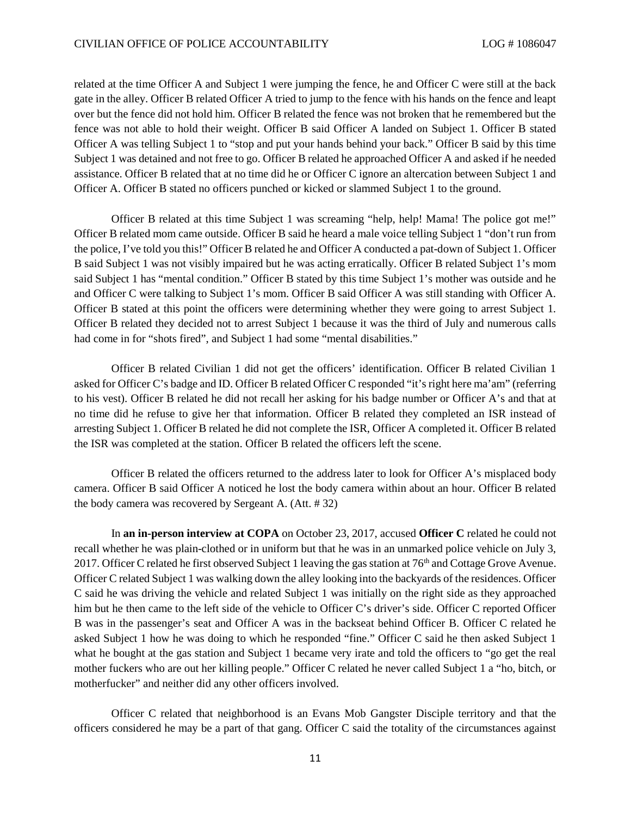related at the time Officer A and Subject 1 were jumping the fence, he and Officer C were still at the back gate in the alley. Officer B related Officer A tried to jump to the fence with his hands on the fence and leapt over but the fence did not hold him. Officer B related the fence was not broken that he remembered but the fence was not able to hold their weight. Officer B said Officer A landed on Subject 1. Officer B stated Officer A was telling Subject 1 to "stop and put your hands behind your back." Officer B said by this time Subject 1 was detained and not free to go. Officer B related he approached Officer A and asked if he needed assistance. Officer B related that at no time did he or Officer C ignore an altercation between Subject 1 and Officer A. Officer B stated no officers punched or kicked or slammed Subject 1 to the ground.

Officer B related at this time Subject 1 was screaming "help, help! Mama! The police got me!" Officer B related mom came outside. Officer B said he heard a male voice telling Subject 1 "don't run from the police, I've told you this!" Officer B related he and Officer A conducted a pat-down of Subject 1. Officer B said Subject 1 was not visibly impaired but he was acting erratically. Officer B related Subject 1's mom said Subject 1 has "mental condition." Officer B stated by this time Subject 1's mother was outside and he and Officer C were talking to Subject 1's mom. Officer B said Officer A was still standing with Officer A. Officer B stated at this point the officers were determining whether they were going to arrest Subject 1. Officer B related they decided not to arrest Subject 1 because it was the third of July and numerous calls had come in for "shots fired", and Subject 1 had some "mental disabilities."

Officer B related Civilian 1 did not get the officers' identification. Officer B related Civilian 1 asked for Officer C's badge and ID. Officer B related Officer C responded "it's right here ma'am" (referring to his vest). Officer B related he did not recall her asking for his badge number or Officer A's and that at no time did he refuse to give her that information. Officer B related they completed an ISR instead of arresting Subject 1. Officer B related he did not complete the ISR, Officer A completed it. Officer B related the ISR was completed at the station. Officer B related the officers left the scene.

Officer B related the officers returned to the address later to look for Officer A's misplaced body camera. Officer B said Officer A noticed he lost the body camera within about an hour. Officer B related the body camera was recovered by Sergeant A. (Att. # 32)

In **an in-person interview at COPA** on October 23, 2017, accused **Officer C** related he could not recall whether he was plain-clothed or in uniform but that he was in an unmarked police vehicle on July 3, 2017. Officer C related he first observed Subject 1 leaving the gas station at 76th and Cottage Grove Avenue. Officer C related Subject 1 was walking down the alley looking into the backyards of the residences. Officer C said he was driving the vehicle and related Subject 1 was initially on the right side as they approached him but he then came to the left side of the vehicle to Officer C's driver's side. Officer C reported Officer B was in the passenger's seat and Officer A was in the backseat behind Officer B. Officer C related he asked Subject 1 how he was doing to which he responded "fine." Officer C said he then asked Subject 1 what he bought at the gas station and Subject 1 became very irate and told the officers to "go get the real mother fuckers who are out her killing people." Officer C related he never called Subject 1 a "ho, bitch, or motherfucker" and neither did any other officers involved.

Officer C related that neighborhood is an Evans Mob Gangster Disciple territory and that the officers considered he may be a part of that gang. Officer C said the totality of the circumstances against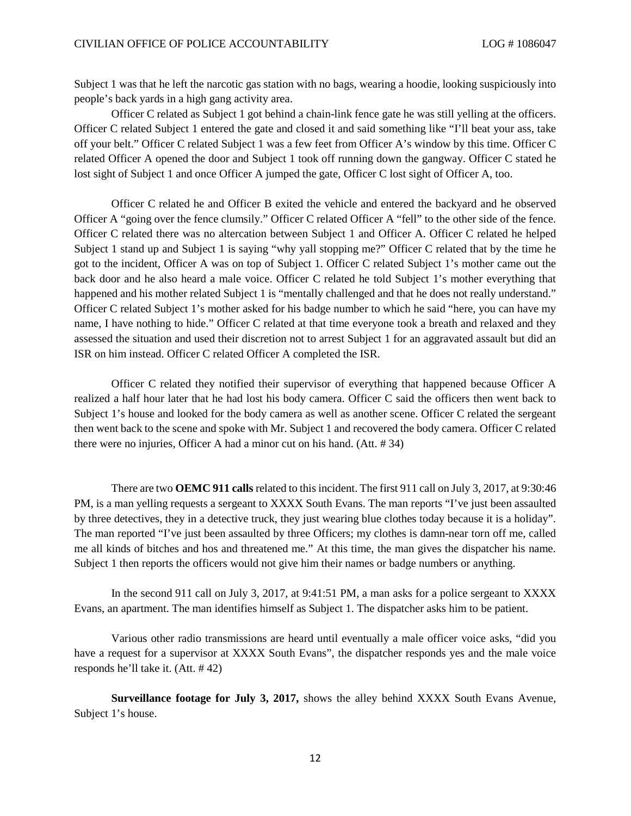Subject 1 was that he left the narcotic gas station with no bags, wearing a hoodie, looking suspiciously into people's back yards in a high gang activity area.

Officer C related as Subject 1 got behind a chain-link fence gate he was still yelling at the officers. Officer C related Subject 1 entered the gate and closed it and said something like "I'll beat your ass, take off your belt." Officer C related Subject 1 was a few feet from Officer A's window by this time. Officer C related Officer A opened the door and Subject 1 took off running down the gangway. Officer C stated he lost sight of Subject 1 and once Officer A jumped the gate, Officer C lost sight of Officer A, too.

Officer C related he and Officer B exited the vehicle and entered the backyard and he observed Officer A "going over the fence clumsily." Officer C related Officer A "fell" to the other side of the fence. Officer C related there was no altercation between Subject 1 and Officer A. Officer C related he helped Subject 1 stand up and Subject 1 is saying "why yall stopping me?" Officer C related that by the time he got to the incident, Officer A was on top of Subject 1. Officer C related Subject 1's mother came out the back door and he also heard a male voice. Officer C related he told Subject 1's mother everything that happened and his mother related Subject 1 is "mentally challenged and that he does not really understand." Officer C related Subject 1's mother asked for his badge number to which he said "here, you can have my name, I have nothing to hide." Officer C related at that time everyone took a breath and relaxed and they assessed the situation and used their discretion not to arrest Subject 1 for an aggravated assault but did an ISR on him instead. Officer C related Officer A completed the ISR.

Officer C related they notified their supervisor of everything that happened because Officer A realized a half hour later that he had lost his body camera. Officer C said the officers then went back to Subject 1's house and looked for the body camera as well as another scene. Officer C related the sergeant then went back to the scene and spoke with Mr. Subject 1 and recovered the body camera. Officer C related there were no injuries, Officer A had a minor cut on his hand. (Att. # 34)

There are two **OEMC 911 calls** related to this incident. The first 911 call on July 3, 2017, at 9:30:46 PM, is a man yelling requests a sergeant to XXXX South Evans. The man reports "I've just been assaulted by three detectives, they in a detective truck, they just wearing blue clothes today because it is a holiday". The man reported "I've just been assaulted by three Officers; my clothes is damn-near torn off me, called me all kinds of bitches and hos and threatened me." At this time, the man gives the dispatcher his name. Subject 1 then reports the officers would not give him their names or badge numbers or anything.

In the second 911 call on July 3, 2017, at 9:41:51 PM, a man asks for a police sergeant to XXXX Evans, an apartment. The man identifies himself as Subject 1. The dispatcher asks him to be patient.

Various other radio transmissions are heard until eventually a male officer voice asks, "did you have a request for a supervisor at XXXX South Evans", the dispatcher responds yes and the male voice responds he'll take it. (Att. # 42)

**Surveillance footage for July 3, 2017,** shows the alley behind XXXX South Evans Avenue, Subject 1's house.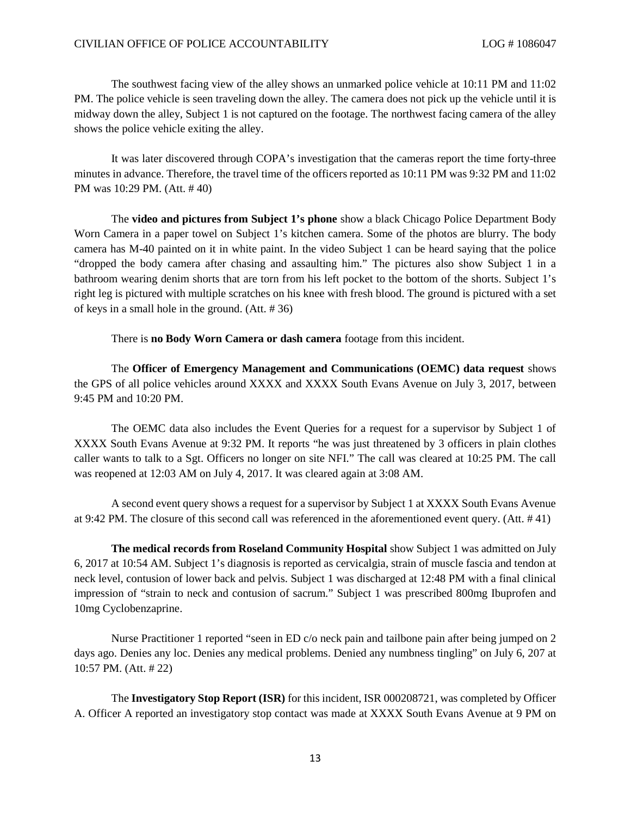The southwest facing view of the alley shows an unmarked police vehicle at 10:11 PM and 11:02 PM. The police vehicle is seen traveling down the alley. The camera does not pick up the vehicle until it is midway down the alley, Subject 1 is not captured on the footage. The northwest facing camera of the alley shows the police vehicle exiting the alley.

It was later discovered through COPA's investigation that the cameras report the time forty-three minutes in advance. Therefore, the travel time of the officers reported as 10:11 PM was 9:32 PM and 11:02 PM was 10:29 PM. (Att. # 40)

The **video and pictures from Subject 1's phone** show a black Chicago Police Department Body Worn Camera in a paper towel on Subject 1's kitchen camera. Some of the photos are blurry. The body camera has M-40 painted on it in white paint. In the video Subject 1 can be heard saying that the police "dropped the body camera after chasing and assaulting him." The pictures also show Subject 1 in a bathroom wearing denim shorts that are torn from his left pocket to the bottom of the shorts. Subject 1's right leg is pictured with multiple scratches on his knee with fresh blood. The ground is pictured with a set of keys in a small hole in the ground. (Att. # 36)

There is **no Body Worn Camera or dash camera** footage from this incident.

The **Officer of Emergency Management and Communications (OEMC) data request** shows the GPS of all police vehicles around XXXX and XXXX South Evans Avenue on July 3, 2017, between 9:45 PM and 10:20 PM.

The OEMC data also includes the Event Queries for a request for a supervisor by Subject 1 of XXXX South Evans Avenue at 9:32 PM. It reports "he was just threatened by 3 officers in plain clothes caller wants to talk to a Sgt. Officers no longer on site NFI." The call was cleared at 10:25 PM. The call was reopened at 12:03 AM on July 4, 2017. It was cleared again at 3:08 AM.

A second event query shows a request for a supervisor by Subject 1 at XXXX South Evans Avenue at 9:42 PM. The closure of this second call was referenced in the aforementioned event query. (Att. # 41)

**The medical records from Roseland Community Hospital** show Subject 1 was admitted on July 6, 2017 at 10:54 AM. Subject 1's diagnosis is reported as cervicalgia, strain of muscle fascia and tendon at neck level, contusion of lower back and pelvis. Subject 1 was discharged at 12:48 PM with a final clinical impression of "strain to neck and contusion of sacrum." Subject 1 was prescribed 800mg Ibuprofen and 10mg Cyclobenzaprine.

Nurse Practitioner 1 reported "seen in ED c/o neck pain and tailbone pain after being jumped on 2 days ago. Denies any loc. Denies any medical problems. Denied any numbness tingling" on July 6, 207 at 10:57 PM. (Att. # 22)

The **Investigatory Stop Report (ISR)** for this incident, ISR 000208721, was completed by Officer A. Officer A reported an investigatory stop contact was made at XXXX South Evans Avenue at 9 PM on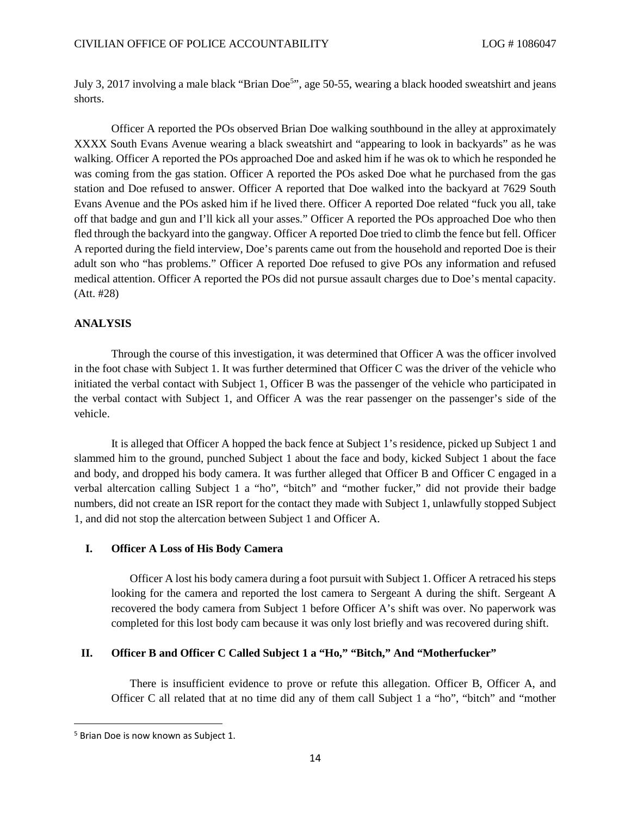July3, 2017 involving a mal[e](#page-11-0) black "Brian Doe<sup>5</sup>", age 50-55, wearing a black hooded sweatshirt and jeans shorts.

Officer A reported the POs observed Brian Doe walking southbound in the alley at approximately XXXX South Evans Avenue wearing a black sweatshirt and "appearing to look in backyards" as he was walking. Officer A reported the POs approached Doe and asked him if he was ok to which he responded he was coming from the gas station. Officer A reported the POs asked Doe what he purchased from the gas station and Doe refused to answer. Officer A reported that Doe walked into the backyard at 7629 South Evans Avenue and the POs asked him if he lived there. Officer A reported Doe related "fuck you all, take off that badge and gun and I'll kick all your asses." Officer A reported the POs approached Doe who then fled through the backyard into the gangway. Officer A reported Doe tried to climb the fence but fell. Officer A reported during the field interview, Doe's parents came out from the household and reported Doe is their adult son who "has problems." Officer A reported Doe refused to give POs any information and refused medical attention. Officer A reported the POs did not pursue assault charges due to Doe's mental capacity. (Att. #28)

## **ANALYSIS**

Through the course of this investigation, it was determined that Officer A was the officer involved in the foot chase with Subject 1. It was further determined that Officer C was the driver of the vehicle who initiated the verbal contact with Subject 1, Officer B was the passenger of the vehicle who participated in the verbal contact with Subject 1, and Officer A was the rear passenger on the passenger's side of the vehicle.

It is alleged that Officer A hopped the back fence at Subject 1's residence, picked up Subject 1 and slammed him to the ground, punched Subject 1 about the face and body, kicked Subject 1 about the face and body, and dropped his body camera. It was further alleged that Officer B and Officer C engaged in a verbal altercation calling Subject 1 a "ho", "bitch" and "mother fucker," did not provide their badge numbers, did not create an ISR report for the contact they made with Subject 1, unlawfully stopped Subject 1, and did not stop the altercation between Subject 1 and Officer A.

#### **I. Officer A Loss of His Body Camera**

Officer A lost his body camera during a foot pursuit with Subject 1. Officer A retraced his steps looking for the camera and reported the lost camera to Sergeant A during the shift. Sergeant A recovered the body camera from Subject 1 before Officer A's shift was over. No paperwork was completed for this lost body cam because it was only lost briefly and was recovered during shift.

### **II. Officer B and Officer C Called Subject 1 a "Ho," "Bitch," And "Motherfucker"**

There is insufficient evidence to prove or refute this allegation. Officer B, Officer A, and Officer C all related that at no time did any of them call Subject 1 a "ho", "bitch" and "mother

<span id="page-11-0"></span><sup>5</sup> Brian Doe is now known as Subject 1.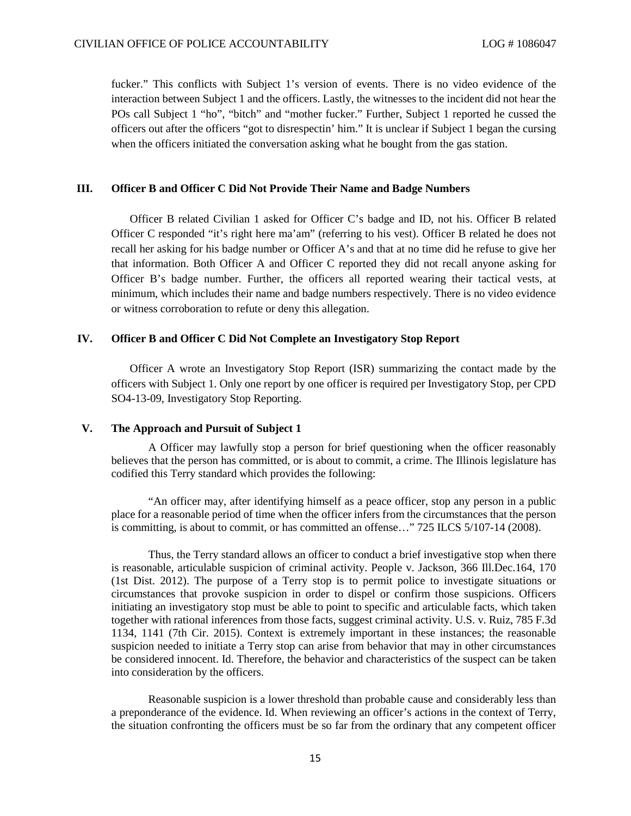fucker." This conflicts with Subject 1's version of events. There is no video evidence of the interaction between Subject 1 and the officers. Lastly, the witnesses to the incident did not hear the POs call Subject 1 "ho", "bitch" and "mother fucker." Further, Subject 1 reported he cussed the officers out after the officers "got to disrespectin' him." It is unclear if Subject 1 began the cursing when the officers initiated the conversation asking what he bought from the gas station.

### **III. Officer B and Officer C Did Not Provide Their Name and Badge Numbers**

Officer B related Civilian 1 asked for Officer C's badge and ID, not his. Officer B related Officer C responded "it's right here ma'am" (referring to his vest). Officer B related he does not recall her asking for his badge number or Officer A's and that at no time did he refuse to give her that information. Both Officer A and Officer C reported they did not recall anyone asking for Officer B's badge number. Further, the officers all reported wearing their tactical vests, at minimum, which includes their name and badge numbers respectively. There is no video evidence or witness corroboration to refute or deny this allegation.

#### **IV. Officer B and Officer C Did Not Complete an Investigatory Stop Report**

Officer A wrote an Investigatory Stop Report (ISR) summarizing the contact made by the officers with Subject 1. Only one report by one officer is required per Investigatory Stop, per CPD SO4-13-09, Investigatory Stop Reporting.

## **V. The Approach and Pursuit of Subject 1**

A Officer may lawfully stop a person for brief questioning when the officer reasonably believes that the person has committed, or is about to commit, a crime. The Illinois legislature has codified this Terry standard which provides the following:

"An officer may, after identifying himself as a peace officer, stop any person in a public place for a reasonable period of time when the officer infers from the circumstances that the person is committing, is about to commit, or has committed an offense…" 725 ILCS 5/107-14 (2008).

Thus, the Terry standard allows an officer to conduct a brief investigative stop when there is reasonable, articulable suspicion of criminal activity. People v. Jackson, 366 Ill.Dec.164, 170 (1st Dist. 2012). The purpose of a Terry stop is to permit police to investigate situations or circumstances that provoke suspicion in order to dispel or confirm those suspicions. Officers initiating an investigatory stop must be able to point to specific and articulable facts, which taken together with rational inferences from those facts, suggest criminal activity. U.S. v. Ruiz, 785 F.3d 1134, 1141 (7th Cir. 2015). Context is extremely important in these instances; the reasonable suspicion needed to initiate a Terry stop can arise from behavior that may in other circumstances be considered innocent. Id. Therefore, the behavior and characteristics of the suspect can be taken into consideration by the officers.

Reasonable suspicion is a lower threshold than probable cause and considerably less than a preponderance of the evidence. Id. When reviewing an officer's actions in the context of Terry, the situation confronting the officers must be so far from the ordinary that any competent officer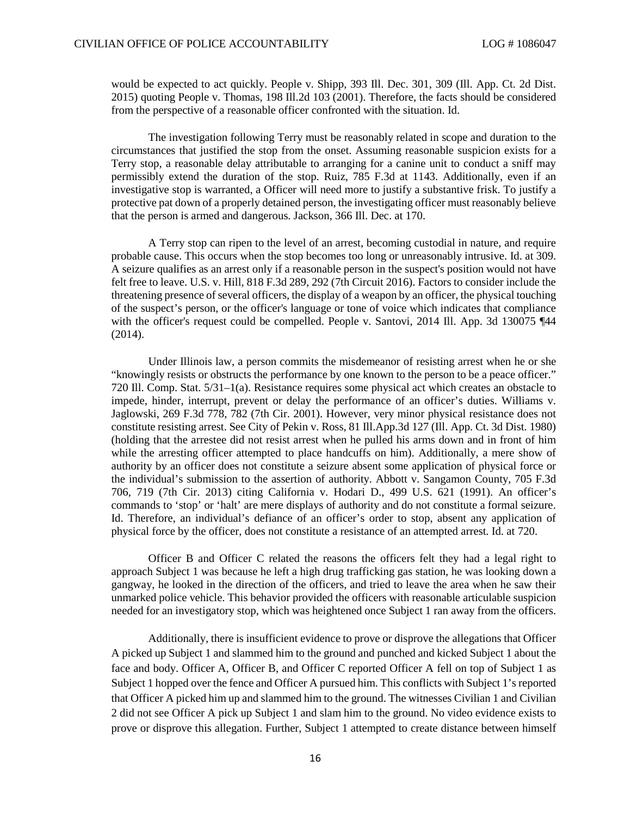would be expected to act quickly. People v. Shipp, 393 Ill. Dec. 301, 309 (Ill. App. Ct. 2d Dist. 2015) quoting People v. Thomas, 198 Ill.2d 103 (2001). Therefore, the facts should be considered from the perspective of a reasonable officer confronted with the situation. Id.

The investigation following Terry must be reasonably related in scope and duration to the circumstances that justified the stop from the onset. Assuming reasonable suspicion exists for a Terry stop, a reasonable delay attributable to arranging for a canine unit to conduct a sniff may permissibly extend the duration of the stop. Ruiz, 785 F.3d at 1143. Additionally, even if an investigative stop is warranted, a Officer will need more to justify a substantive frisk. To justify a protective pat down of a properly detained person, the investigating officer must reasonably believe that the person is armed and dangerous. Jackson, 366 Ill. Dec. at 170.

A Terry stop can ripen to the level of an arrest, becoming custodial in nature, and require probable cause. This occurs when the stop becomes too long or unreasonably intrusive. Id. at 309. A seizure qualifies as an arrest only if a reasonable person in the suspect's position would not have felt free to leave. U.S. v. Hill, 818 F.3d 289, 292 (7th Circuit 2016). Factors to consider include the threatening presence of several officers, the display of a weapon by an officer, the physical touching of the suspect's person, or the officer's language or tone of voice which indicates that compliance with the officer's request could be compelled. People v. Santovi, 2014 Ill. App. 3d 130075 ¶44 (2014).

Under Illinois law, a person commits the misdemeanor of resisting arrest when he or she "knowingly resists or obstructs the performance by one known to the person to be a peace officer." 720 Ill. Comp. Stat. 5/31–1(a). Resistance requires some physical act which creates an obstacle to impede, hinder, interrupt, prevent or delay the performance of an officer's duties. Williams v. Jaglowski, 269 F.3d 778, 782 (7th Cir. 2001). However, very minor physical resistance does not constitute resisting arrest. See City of Pekin v. Ross, 81 Ill.App.3d 127 (Ill. App. Ct. 3d Dist. 1980) (holding that the arrestee did not resist arrest when he pulled his arms down and in front of him while the arresting officer attempted to place handcuffs on him). Additionally, a mere show of authority by an officer does not constitute a seizure absent some application of physical force or the individual's submission to the assertion of authority. Abbott v. Sangamon County, 705 F.3d 706, 719 (7th Cir. 2013) citing California v. Hodari D., 499 U.S. 621 (1991). An officer's commands to 'stop' or 'halt' are mere displays of authority and do not constitute a formal seizure. Id. Therefore, an individual's defiance of an officer's order to stop, absent any application of physical force by the officer, does not constitute a resistance of an attempted arrest. Id. at 720.

Officer B and Officer C related the reasons the officers felt they had a legal right to approach Subject 1 was because he left a high drug trafficking gas station, he was looking down a gangway, he looked in the direction of the officers, and tried to leave the area when he saw their unmarked police vehicle. This behavior provided the officers with reasonable articulable suspicion needed for an investigatory stop, which was heightened once Subject 1 ran away from the officers.

Additionally, there is insufficient evidence to prove or disprove the allegations that Officer A picked up Subject 1 and slammed him to the ground and punched and kicked Subject 1 about the face and body. Officer A, Officer B, and Officer C reported Officer A fell on top of Subject 1 as Subject 1 hopped over the fence and Officer A pursued him. This conflicts with Subject 1's reported that Officer A picked him up and slammed him to the ground. The witnesses Civilian 1 and Civilian 2 did not see Officer A pick up Subject 1 and slam him to the ground. No video evidence exists to prove or disprove this allegation. Further, Subject 1 attempted to create distance between himself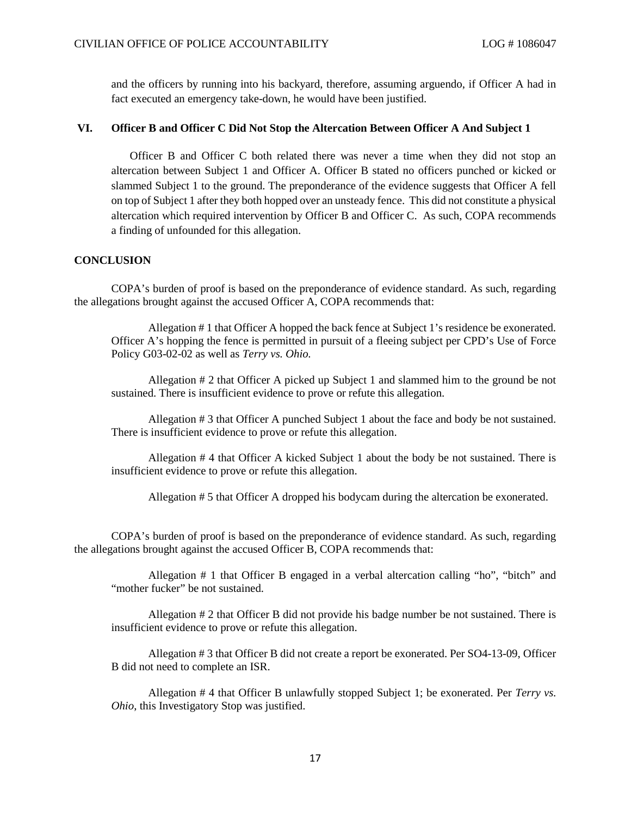and the officers by running into his backyard, therefore, assuming arguendo, if Officer A had in fact executed an emergency take-down, he would have been justified.

#### **VI. Officer B and Officer C Did Not Stop the Altercation Between Officer A And Subject 1**

Officer B and Officer C both related there was never a time when they did not stop an altercation between Subject 1 and Officer A. Officer B stated no officers punched or kicked or slammed Subject 1 to the ground. The preponderance of the evidence suggests that Officer A fell on top of Subject 1 after they both hopped over an unsteady fence. This did not constitute a physical altercation which required intervention by Officer B and Officer C. As such, COPA recommends a finding of unfounded for this allegation.

## **CONCLUSION**

COPA's burden of proof is based on the preponderance of evidence standard. As such, regarding the allegations brought against the accused Officer A, COPA recommends that:

Allegation # 1 that Officer A hopped the back fence at Subject 1's residence be exonerated. Officer A's hopping the fence is permitted in pursuit of a fleeing subject per CPD's Use of Force Policy G03-02-02 as well as *Terry vs. Ohio.*

Allegation # 2 that Officer A picked up Subject 1 and slammed him to the ground be not sustained. There is insufficient evidence to prove or refute this allegation.

Allegation # 3 that Officer A punched Subject 1 about the face and body be not sustained. There is insufficient evidence to prove or refute this allegation.

Allegation # 4 that Officer A kicked Subject 1 about the body be not sustained. There is insufficient evidence to prove or refute this allegation.

Allegation # 5 that Officer A dropped his bodycam during the altercation be exonerated.

COPA's burden of proof is based on the preponderance of evidence standard. As such, regarding the allegations brought against the accused Officer B, COPA recommends that:

Allegation # 1 that Officer B engaged in a verbal altercation calling "ho", "bitch" and "mother fucker" be not sustained.

Allegation # 2 that Officer B did not provide his badge number be not sustained. There is insufficient evidence to prove or refute this allegation.

Allegation # 3 that Officer B did not create a report be exonerated. Per SO4-13-09, Officer B did not need to complete an ISR.

Allegation # 4 that Officer B unlawfully stopped Subject 1; be exonerated. Per *Terry vs. Ohio*, this Investigatory Stop was justified.